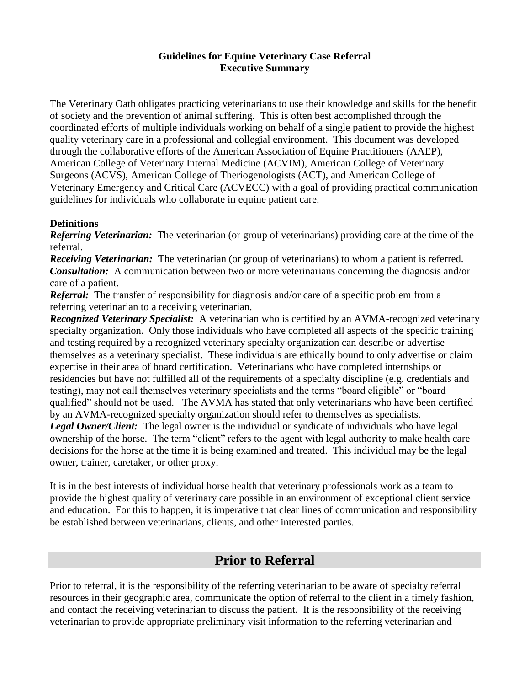#### **Guidelines for Equine Veterinary Case Referral Executive Summary**

The Veterinary Oath obligates practicing veterinarians to use their knowledge and skills for the benefit of society and the prevention of animal suffering. This is often best accomplished through the coordinated efforts of multiple individuals working on behalf of a single patient to provide the highest quality veterinary care in a professional and collegial environment. This document was developed through the collaborative efforts of the American Association of Equine Practitioners (AAEP), American College of Veterinary Internal Medicine (ACVIM), American College of Veterinary Surgeons (ACVS), American College of Theriogenologists (ACT), and American College of Veterinary Emergency and Critical Care (ACVECC) with a goal of providing practical communication guidelines for individuals who collaborate in equine patient care.

#### **Definitions**

*Referring Veterinarian:* The veterinarian (or group of veterinarians) providing care at the time of the referral.

*Receiving Veterinarian:* The veterinarian (or group of veterinarians) to whom a patient is referred. *Consultation:* A communication between two or more veterinarians concerning the diagnosis and/or care of a patient.

*Referral:* The transfer of responsibility for diagnosis and/or care of a specific problem from a referring veterinarian to a receiving veterinarian.

**Recognized Veterinary Specialist:** A veterinarian who is certified by an AVMA-recognized veterinary specialty organization. Only those individuals who have completed all aspects of the specific training and testing required by a recognized veterinary specialty organization can describe or advertise themselves as a veterinary specialist. These individuals are ethically bound to only advertise or claim expertise in their area of board certification. Veterinarians who have completed internships or residencies but have not fulfilled all of the requirements of a specialty discipline (e.g. credentials and testing), may not call themselves veterinary specialists and the terms "board eligible" or "board qualified" should not be used. The AVMA has stated that only veterinarians who have been certified by an AVMA-recognized specialty organization should refer to themselves as specialists.

*Legal Owner/Client:* The legal owner is the individual or syndicate of individuals who have legal ownership of the horse. The term "client" refers to the agent with legal authority to make health care decisions for the horse at the time it is being examined and treated. This individual may be the legal owner, trainer, caretaker, or other proxy.

It is in the best interests of individual horse health that veterinary professionals work as a team to provide the highest quality of veterinary care possible in an environment of exceptional client service and education. For this to happen, it is imperative that clear lines of communication and responsibility be established between veterinarians, clients, and other interested parties.

# **Prior to Referral**

Prior to referral, it is the responsibility of the referring veterinarian to be aware of specialty referral resources in their geographic area, communicate the option of referral to the client in a timely fashion, and contact the receiving veterinarian to discuss the patient. It is the responsibility of the receiving veterinarian to provide appropriate preliminary visit information to the referring veterinarian and